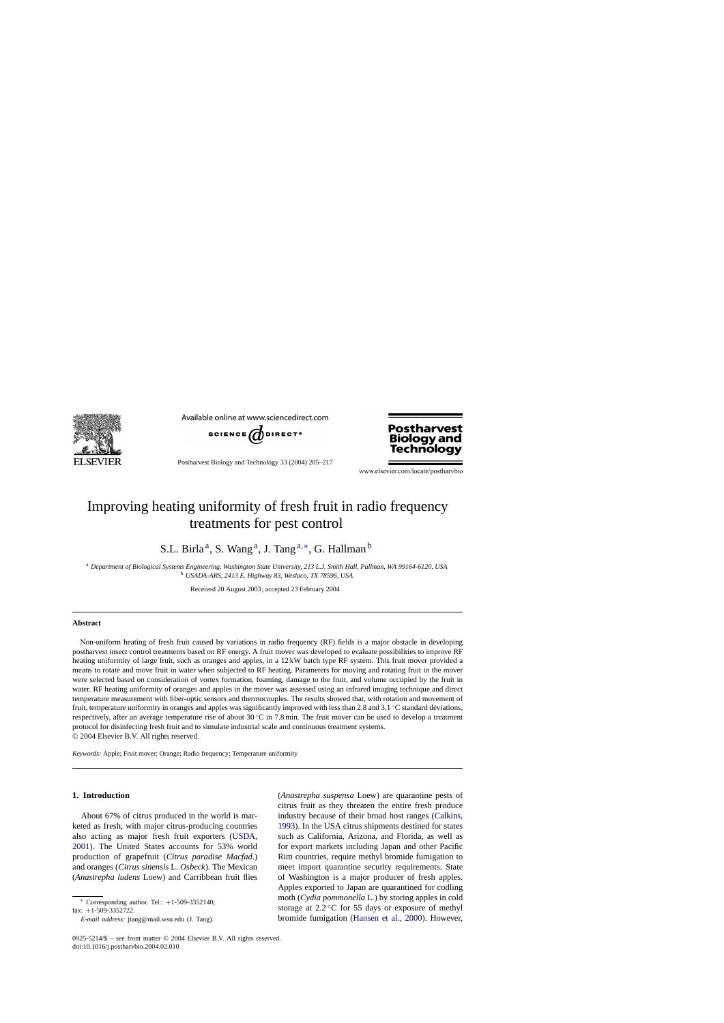

Available online at www.sciencedirect.com



Postharvest Biology and Technology 33 (2004) 205–217



www.elsevier.com/locate/postharybio

# Improving heating uniformity of fresh fruit in radio frequency treatments for pest control

S.L. Birla<sup>a</sup>, S. Wang<sup>a</sup>, J. Tang<sup>a,\*</sup>, G. Hallman<sup>b</sup>

<sup>a</sup> *Department of Biological Systems Engineering, Washington State University, 213 L.J. Smith Hall, Pullman, WA 99164-6120, USA* <sup>b</sup> *USADA-ARS, 2413 E. Highway 83, Weslaco, TX 78596, USA*

Received 20 August 2003; accepted 23 February 2004

#### **Abstract**

Non-uniform heating of fresh fruit caused by variations in radio frequency (RF) fields is a major obstacle in developing postharvest insect control treatments based on RF energy. A fruit mover was developed to evaluate possibilities to improve RF heating uniformity of large fruit, such as oranges and apples, in a 12 kW batch type RF system. This fruit mover provided a means to rotate and move fruit in water when subjected to RF heating. Parameters for moving and rotating fruit in the mover were selected based on consideration of vortex formation, foaming, damage to the fruit, and volume occupied by the fruit in water. RF heating uniformity of oranges and apples in the mover was assessed using an infrared imaging technique and direct temperature measurement with fiber-optic sensors and thermocouples. The results showed that, with rotation and movement of fruit, temperature uniformity in oranges and apples was significantly improved with less than 2.8 and 3.1 ◦C standard deviations, respectively, after an average temperature rise of about  $30^{\circ}$ C in 7.8 min. The fruit mover can be used to develop a treatment protocol for disinfecting fresh fruit and to simulate industrial scale and continuous treatment systems. © 2004 Elsevier B.V. All rights reserved.

*Keywords:* Apple; Fruit mover; Orange; Radio frequency; Temperature uniformity

## **1. Introduction**

About 67% of citrus produced in the world is marketed as fresh, with major citrus-producing countries also acting as major fresh fruit exporters [\(USDA,](#page-11-0) [2001\).](#page-11-0) The United States accounts for 53% world production of grapefruit (*Citrus paradise Macfad*.) and oranges (*Citrus sinensis* L. *Osbeck*). The Mexican (*Anastrepha ludens* Loew) and Carribbean fruit flies

<sup>∗</sup> Corresponding author. Tel.: +1-509-3352140;

fax: +1-509-3352722.

*E-mail address:* jtang@mail.wsu.edu (J. Tang).

<sup>(</sup>*Anastrepha suspensa* Loew) are quarantine pests of citrus fruit as they threaten the entire fresh produce industry because of their broad host ranges ([Calkins,](#page-11-0) [1993\).](#page-11-0) In the USA citrus shipments destined for states such as California, Arizona, and Florida, as well as for export markets including Japan and other Pacific Rim countries, require methyl bromide fumigation to meet import quarantine security requirements. State of Washington is a major producer of fresh apples. Apples exported to Japan are quarantined for codling moth (*Cydia pommonella* L.) by storing apples in cold storage at 2.2 ◦C for 55 days or exposure of methyl bromide fumigation ([Hansen et al., 2000\)](#page-11-0). However,

<sup>0925-5214/\$ –</sup> see front matter © 2004 Elsevier B.V. All rights reserved. doi:10.1016/j.postharvbio.2004.02.010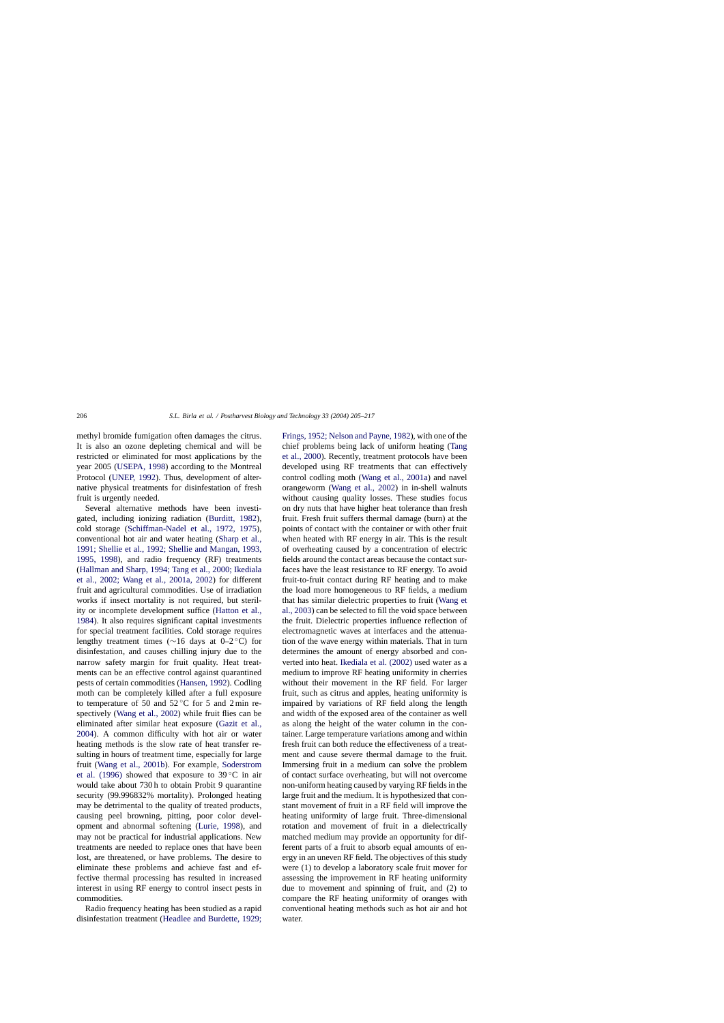methyl bromide fumigation often damages the citrus. It is also an ozone depleting chemical and will be restricted or eliminated for most applications by the year 2005 [\(USEPA, 1998\)](#page-11-0) according to the Montreal Protocol [\(UNEP, 1992\).](#page-11-0) Thus, development of alternative physical treatments for disinfestation of fresh fruit is urgently needed.

Several alternative methods have been investigated, including ionizing radiation ([Burditt, 1982\)](#page-11-0), cold storage ([Schiffman-Nadel et al., 1972, 1975](#page-11-0)), conventional hot air and water heating [\(Sharp et al.,](#page-11-0) [1991; Shellie et al., 1992; Shellie and Mangan, 1993,](#page-11-0) [1995, 1998\)](#page-11-0), and radio frequency (RF) treatments ([Hallman and Sharp, 1994; Tang et al., 2000; Ikediala](#page-11-0) [et al., 2002; Wang et al., 2001a, 2002](#page-11-0)) for different fruit and agricultural commodities. Use of irradiation works if insect mortality is not required, but sterility or incomplete development suffice ([Hatton et al.,](#page-11-0) [1984\).](#page-11-0) It also requires significant capital investments for special treatment facilities. Cold storage requires lengthy treatment times ( $\sim$ 16 days at 0–2 °C) for disinfestation, and causes chilling injury due to the narrow safety margin for fruit quality. Heat treatments can be an effective control against quarantined pests of certain commodities [\(Hansen, 1992\).](#page-11-0) Codling moth can be completely killed after a full exposure to temperature of 50 and  $52^{\circ}$ C for 5 and 2 min respectively ([Wang et al., 2002\)](#page-11-0) while fruit flies can be eliminated after similar heat exposure ([Gazit et al.,](#page-11-0) [2004\).](#page-11-0) A common difficulty with hot air or water heating methods is the slow rate of heat transfer resulting in hours of treatment time, especially for large fruit [\(Wang et al., 2001b\)](#page-11-0). For example, [Soderstrom](#page-11-0) [et al. \(1996\)](#page-11-0) showed that exposure to  $39^{\circ}$ C in air would take about 730 h to obtain Probit 9 quarantine security (99.996832% mortality). Prolonged heating may be detrimental to the quality of treated products, causing peel browning, pitting, poor color development and abnormal softening ([Lurie, 1998\),](#page-11-0) and may not be practical for industrial applications. New treatments are needed to replace ones that have been lost, are threatened, or have problems. The desire to eliminate these problems and achieve fast and effective thermal processing has resulted in increased interest in using RF energy to control insect pests in commodities.

Radio frequency heating has been studied as a rapid disinfestation treatment ([Headlee and Burdette, 1929;](#page-11-0) [Frings, 1952; Nelson and Payne, 1982\), w](#page-11-0)ith one of the chief problems being lack of uniform heating ([Tang](#page-11-0) [et al., 2000\).](#page-11-0) Recently, treatment protocols have been developed using RF treatments that can effectively control codling moth ([Wang et al., 2001a\)](#page-11-0) and navel orangeworm ([Wang et al., 2002\)](#page-11-0) in in-shell walnuts without causing quality losses. These studies focus on dry nuts that have higher heat tolerance than fresh fruit. Fresh fruit suffers thermal damage (burn) at the points of contact with the container or with other fruit when heated with RF energy in air. This is the result of overheating caused by a concentration of electric fields around the contact areas because the contact surfaces have the least resistance to RF energy. To avoid fruit-to-fruit contact during RF heating and to make the load more homogeneous to RF fields, a medium that has similar dielectric properties to fruit [\(Wang et](#page-12-0) [al., 2003\) c](#page-12-0)an be selected to fill the void space between the fruit. Dielectric properties influence reflection of electromagnetic waves at interfaces and the attenuation of the wave energy within materials. That in turn determines the amount of energy absorbed and converted into heat. [Ikediala et al. \(2002\)](#page-11-0) used water as a medium to improve RF heating uniformity in cherries without their movement in the RF field. For larger fruit, such as citrus and apples, heating uniformity is impaired by variations of RF field along the length and width of the exposed area of the container as well as along the height of the water column in the container. Large temperature variations among and within fresh fruit can both reduce the effectiveness of a treatment and cause severe thermal damage to the fruit. Immersing fruit in a medium can solve the problem of contact surface overheating, but will not overcome non-uniform heating caused by varying RF fields in the large fruit and the medium. It is hypothesized that constant movement of fruit in a RF field will improve the heating uniformity of large fruit. Three-dimensional rotation and movement of fruit in a dielectrically matched medium may provide an opportunity for different parts of a fruit to absorb equal amounts of energy in an uneven RF field. The objectives of this study were (1) to develop a laboratory scale fruit mover for assessing the improvement in RF heating uniformity due to movement and spinning of fruit, and (2) to compare the RF heating uniformity of oranges with conventional heating methods such as hot air and hot water.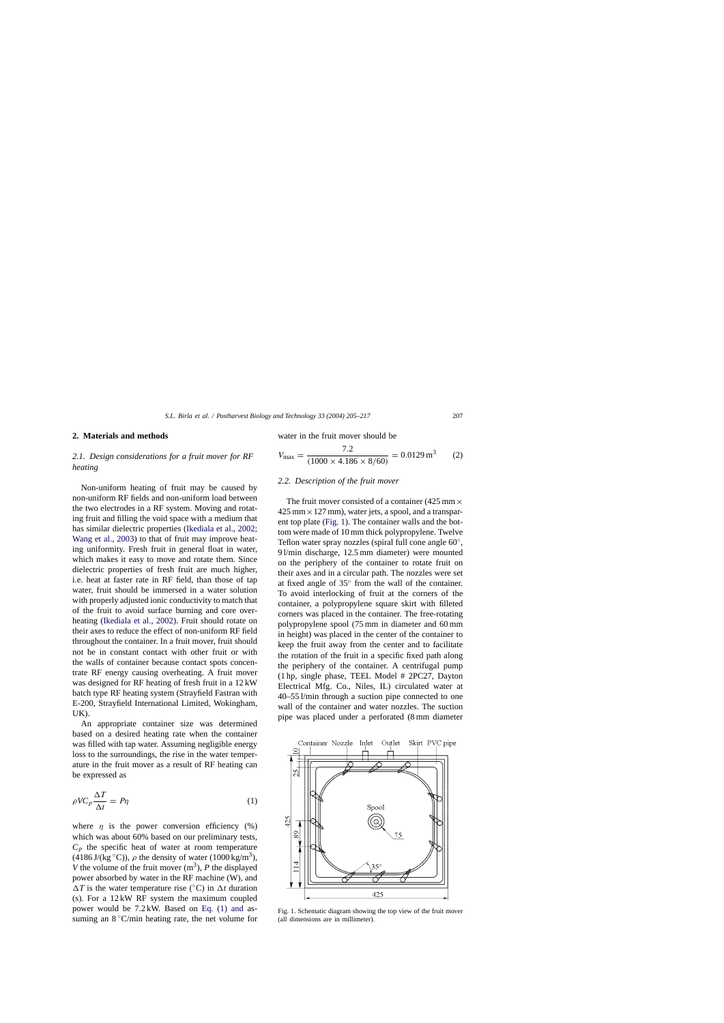#### **2. Materials and methods**

# *2.1. Design considerations for a fruit mover for RF heating*

Non-uniform heating of fruit may be caused by non-uniform RF fields and non-uniform load between the two electrodes in a RF system. Moving and rotating fruit and filling the void space with a medium that has similar dielectric properties ([Ikediala et al., 2002;](#page-11-0) [Wang et al., 2003\)](#page-11-0) to that of fruit may improve heating uniformity. Fresh fruit in general float in water, which makes it easy to move and rotate them. Since dielectric properties of fresh fruit are much higher, i.e. heat at faster rate in RF field, than those of tap water, fruit should be immersed in a water solution with properly adjusted ionic conductivity to match that of the fruit to avoid surface burning and core overheating [\(Ikediala et al., 2002\).](#page-11-0) Fruit should rotate on their axes to reduce the effect of non-uniform RF field throughout the container. In a fruit mover, fruit should not be in constant contact with other fruit or with the walls of container because contact spots concentrate RF energy causing overheating. A fruit mover was designed for RF heating of fresh fruit in a 12 kW batch type RF heating system (Strayfield Fastran with E-200, Strayfield International Limited, Wokingham, UK).

An appropriate container size was determined based on a desired heating rate when the container was filled with tap water. Assuming negligible energy loss to the surroundings, the rise in the water temperature in the fruit mover as a result of RF heating can be expressed as

$$
\rho V C_p \frac{\Delta T}{\Delta t} = P \eta \tag{1}
$$

where  $\eta$  is the power conversion efficiency (%) which was about 60% based on our preliminary tests,  $C_p$  the specific heat of water at room temperature (4186 J/(kg  $\degree$ C)),  $\rho$  the density of water (1000 kg/m<sup>3</sup>), *V* the volume of the fruit mover  $(m^3)$ , *P* the displayed power absorbed by water in the RF machine (W), and  $\Delta T$  is the water temperature rise ( $\degree$ C) in  $\Delta t$  duration (s). For a 12 kW RF system the maximum coupled power would be 7.2 kW. Based on Eq. (1) and assuming an  $8^{\circ}$ C/min heating rate, the net volume for water in the fruit mover should be

$$
V_{\text{max}} = \frac{7.2}{(1000 \times 4.186 \times 8/60)} = 0.0129 \,\text{m}^3 \tag{2}
$$

#### *2.2. Description of the fruit mover*

The fruit mover consisted of a container (425 mm  $\times$  $425 \text{ mm} \times 127 \text{ mm}$ , water jets, a spool, and a transparent top plate (Fig. 1). The container walls and the bottom were made of 10 mm thick polypropylene. Twelve Teflon water spray nozzles (spiral full cone angle 60◦, 9 l/min discharge, 12.5 mm diameter) were mounted on the periphery of the container to rotate fruit on their axes and in a circular path. The nozzles were set at fixed angle of 35◦ from the wall of the container. To avoid interlocking of fruit at the corners of the container, a polypropylene square skirt with filleted corners was placed in the container. The free-rotating polypropylene spool (75 mm in diameter and 60 mm in height) was placed in the center of the container to keep the fruit away from the center and to facilitate the rotation of the fruit in a specific fixed path along the periphery of the container. A centrifugal pump (1 hp, single phase, TEEL Model # 2PC27, Dayton Electrical Mfg. Co., Niles, IL) circulated water at 40–55 l/min through a suction pipe connected to one wall of the container and water nozzles. The suction pipe was placed under a perforated (8 mm diameter



Fig. 1. Schematic diagram showing the top view of the fruit mover (all dimensions are in millimeter).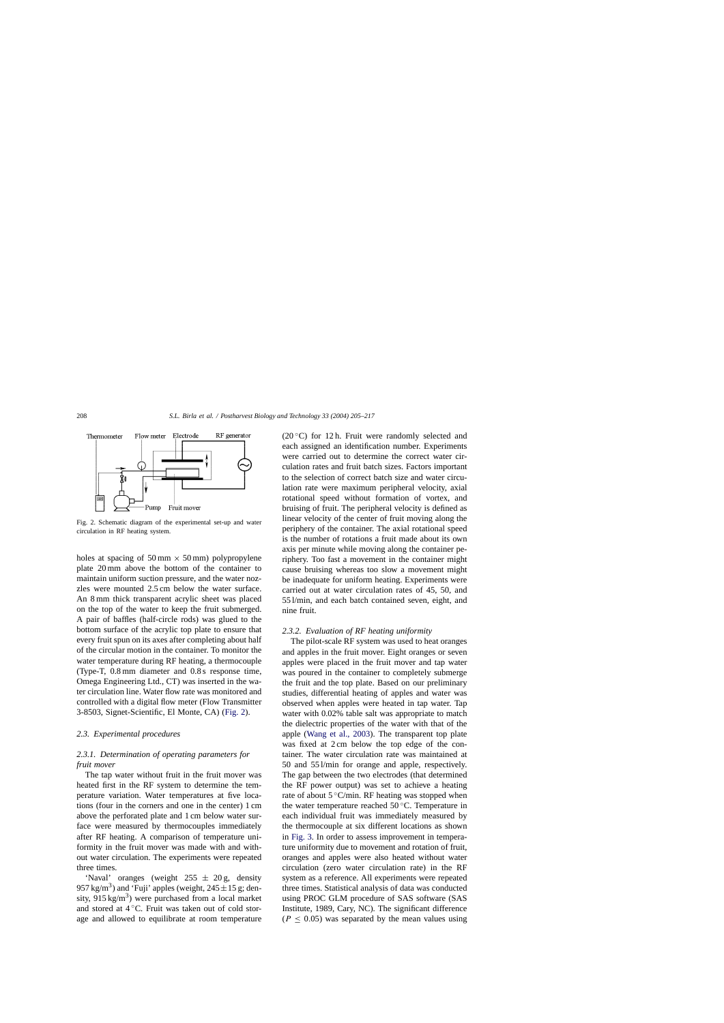

Fig. 2. Schematic diagram of the experimental set-up and water circulation in RF heating system.

holes at spacing of  $50 \text{ mm} \times 50 \text{ mm}$ ) polypropylene plate 20 mm above the bottom of the container to maintain uniform suction pressure, and the water nozzles were mounted 2.5 cm below the water surface. An 8 mm thick transparent acrylic sheet was placed on the top of the water to keep the fruit submerged. A pair of baffles (half-circle rods) was glued to the bottom surface of the acrylic top plate to ensure that every fruit spun on its axes after completing about half of the circular motion in the container. To monitor the water temperature during RF heating, a thermocouple (Type-T, 0.8 mm diameter and 0.8 s response time, Omega Engineering Ltd., CT) was inserted in the water circulation line. Water flow rate was monitored and controlled with a digital flow meter (Flow Transmitter 3-8503, Signet-Scientific, El Monte, CA) (Fig. 2).

## *2.3. Experimental procedures*

# *2.3.1. Determination of operating parameters for fruit mover*

The tap water without fruit in the fruit mover was heated first in the RF system to determine the temperature variation. Water temperatures at five locations (four in the corners and one in the center) 1 cm above the perforated plate and 1 cm below water surface were measured by thermocouples immediately after RF heating. A comparison of temperature uniformity in the fruit mover was made with and without water circulation. The experiments were repeated three times.

'Naval' oranges (weight  $255 \pm 20$  g, density 957 kg/m<sup>3</sup>) and 'Fuji' apples (weight,  $245 \pm 15$  g; density,  $915 \text{ kg/m}^3$ ) were purchased from a local market and stored at  $4^\circ$ C. Fruit was taken out of cold storage and allowed to equilibrate at room temperature (20 $\degree$ C) for 12 h. Fruit were randomly selected and each assigned an identification number. Experiments were carried out to determine the correct water circulation rates and fruit batch sizes. Factors important to the selection of correct batch size and water circulation rate were maximum peripheral velocity, axial rotational speed without formation of vortex, and bruising of fruit. The peripheral velocity is defined as linear velocity of the center of fruit moving along the periphery of the container. The axial rotational speed is the number of rotations a fruit made about its own axis per minute while moving along the container periphery. Too fast a movement in the container might cause bruising whereas too slow a movement might be inadequate for uniform heating. Experiments were carried out at water circulation rates of 45, 50, and 55 l/min, and each batch contained seven, eight, and nine fruit.

#### *2.3.2. Evaluation of RF heating uniformity*

The pilot-scale RF system was used to heat oranges and apples in the fruit mover. Eight oranges or seven apples were placed in the fruit mover and tap water was poured in the container to completely submerge the fruit and the top plate. Based on our preliminary studies, differential heating of apples and water was observed when apples were heated in tap water. Tap water with 0.02% table salt was appropriate to match the dielectric properties of the water with that of the apple [\(Wang et al., 2003\)](#page-12-0). The transparent top plate was fixed at 2 cm below the top edge of the container. The water circulation rate was maintained at 50 and 55 l/min for orange and apple, respectively. The gap between the two electrodes (that determined the RF power output) was set to achieve a heating rate of about  $5^{\circ}$ C/min. RF heating was stopped when the water temperature reached  $50^{\circ}$ C. Temperature in each individual fruit was immediately measured by the thermocouple at six different locations as shown in [Fig. 3.](#page-4-0) In order to assess improvement in temperature uniformity due to movement and rotation of fruit, oranges and apples were also heated without water circulation (zero water circulation rate) in the RF system as a reference. All experiments were repeated three times. Statistical analysis of data was conducted using PROC GLM procedure of SAS software (SAS Institute, 1989, Cary, NC). The significant difference  $(P \leq 0.05)$  was separated by the mean values using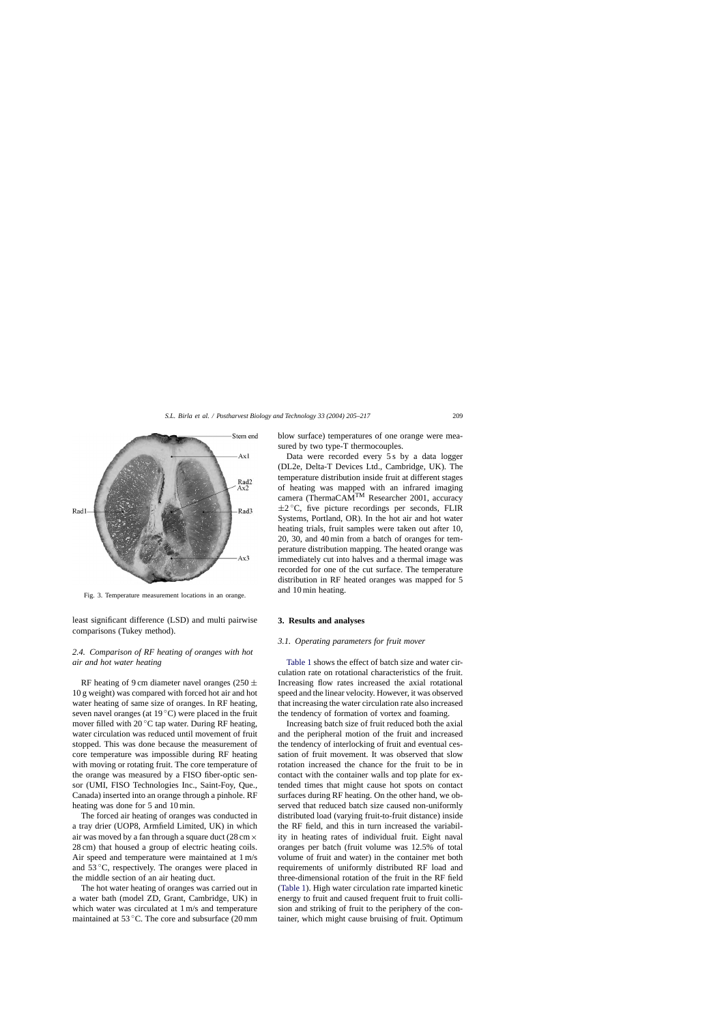<span id="page-4-0"></span>

Fig. 3. Temperature measurement locations in an orange.

least significant difference (LSD) and multi pairwise comparisons (Tukey method).

# *2.4. Comparison of RF heating of oranges with hot air and hot water heating*

RF heating of 9 cm diameter navel oranges (250  $\pm$ 10 g weight) was compared with forced hot air and hot water heating of same size of oranges. In RF heating, seven navel oranges (at  $19^{\circ}$ C) were placed in the fruit mover filled with  $20^{\circ}$ C tap water. During RF heating, water circulation was reduced until movement of fruit stopped. This was done because the measurement of core temperature was impossible during RF heating with moving or rotating fruit. The core temperature of the orange was measured by a FISO fiber-optic sensor (UMI, FISO Technologies Inc., Saint-Foy, Que., Canada) inserted into an orange through a pinhole. RF heating was done for 5 and 10 min.

The forced air heating of oranges was conducted in a tray drier (UOP8, Armfield Limited, UK) in which air was moved by a fan through a square duct  $(28 \text{ cm} \times$ 28 cm) that housed a group of electric heating coils. Air speed and temperature were maintained at 1 m/s and  $53^{\circ}$ C, respectively. The oranges were placed in the middle section of an air heating duct.

The hot water heating of oranges was carried out in a water bath (model ZD, Grant, Cambridge, UK) in which water was circulated at 1 m/s and temperature maintained at 53 ◦C. The core and subsurface (20 mm

blow surface) temperatures of one orange were measured by two type-T thermocouples.

Data were recorded every 5s by a data logger (DL2e, Delta-T Devices Ltd., Cambridge, UK). The temperature distribution inside fruit at different stages of heating was mapped with an infrared imaging camera (ThermaCAMTM Researcher 2001, accuracy  $\pm 2$  °C, five picture recordings per seconds, FLIR Systems, Portland, OR). In the hot air and hot water heating trials, fruit samples were taken out after 10, 20, 30, and 40 min from a batch of oranges for temperature distribution mapping. The heated orange was immediately cut into halves and a thermal image was recorded for one of the cut surface. The temperature distribution in RF heated oranges was mapped for 5 and 10 min heating.

#### **3. Results and analyses**

#### *3.1. Operating parameters for fruit mover*

[Table 1](#page-5-0) shows the effect of batch size and water circulation rate on rotational characteristics of the fruit. Increasing flow rates increased the axial rotational speed and the linear velocity. However, it was observed that increasing the water circulation rate also increased the tendency of formation of vortex and foaming.

Increasing batch size of fruit reduced both the axial and the peripheral motion of the fruit and increased the tendency of interlocking of fruit and eventual cessation of fruit movement. It was observed that slow rotation increased the chance for the fruit to be in contact with the container walls and top plate for extended times that might cause hot spots on contact surfaces during RF heating. On the other hand, we observed that reduced batch size caused non-uniformly distributed load (varying fruit-to-fruit distance) inside the RF field, and this in turn increased the variability in heating rates of individual fruit. Eight naval oranges per batch (fruit volume was 12.5% of total volume of fruit and water) in the container met both requirements of uniformly distributed RF load and three-dimensional rotation of the fruit in the RF field ([Table 1\).](#page-5-0) High water circulation rate imparted kinetic energy to fruit and caused frequent fruit to fruit collision and striking of fruit to the periphery of the container, which might cause bruising of fruit. Optimum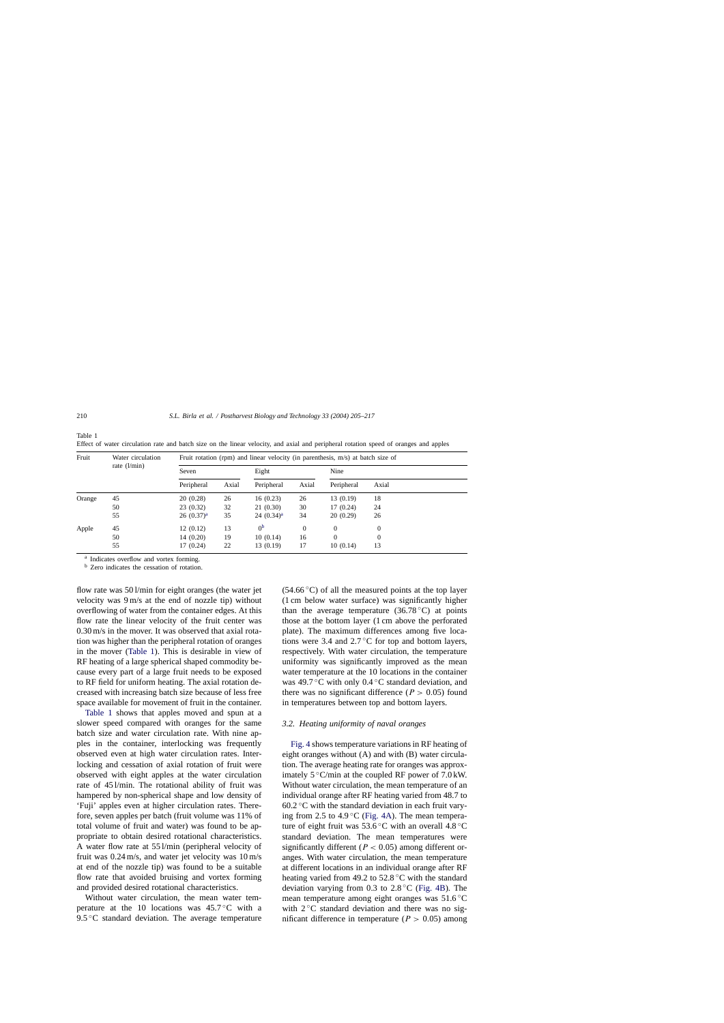| Fruit  | Water circulation<br>rate $(l/min)$ | Fruit rotation (rpm) and linear velocity (in parenthesis, $m/s$ ) at batch size of |       |                |          |            |                |  |  |
|--------|-------------------------------------|------------------------------------------------------------------------------------|-------|----------------|----------|------------|----------------|--|--|
|        |                                     | Seven                                                                              |       | Eight          |          | Nine       |                |  |  |
|        |                                     | Peripheral                                                                         | Axial | Peripheral     | Axial    | Peripheral | Axial          |  |  |
| Orange | 45                                  | 20(0.28)                                                                           | 26    | 16(0.23)       | 26       | 13(0.19)   | 18             |  |  |
|        | 50                                  | 23(0.32)                                                                           | 32    | 21(0.30)       | 30       | 17(0.24)   | 24             |  |  |
|        | 55                                  | $26(0.37)^{a}$                                                                     | 35    | $24(0.34)^a$   | 34       | 20(0.29)   | 26             |  |  |
| Apple  | 45                                  | 12(0.12)                                                                           | 13    | 0 <sup>b</sup> | $\Omega$ | $\Omega$   | $\overline{0}$ |  |  |
|        | 50                                  | 14(0.20)                                                                           | 19    | 10(0.14)       | 16       | $\Omega$   | $\Omega$       |  |  |
|        | 55                                  | 17 (0.24)                                                                          | 22    | 13 (0.19)      | 17       | 10(0.14)   | 13             |  |  |

Effect of water circulation rate and batch size on the linear velocity, and axial and peripheral rotation speed of oranges and apples

<sup>a</sup> Indicates overflow and vortex forming.

<sup>b</sup> Zero indicates the cessation of rotation.

flow rate was 50 l/min for eight oranges (the water jet velocity was 9 m/s at the end of nozzle tip) without overflowing of water from the container edges. At this flow rate the linear velocity of the fruit center was 0.30 m/s in the mover. It was observed that axial rotation was higher than the peripheral rotation of oranges in the mover (Table 1). This is desirable in view of RF heating of a large spherical shaped commodity because every part of a large fruit needs to be exposed to RF field for uniform heating. The axial rotation decreased with increasing batch size because of less free space available for movement of fruit in the container.

Table 1 shows that apples moved and spun at a slower speed compared with oranges for the same batch size and water circulation rate. With nine apples in the container, interlocking was frequently observed even at high water circulation rates. Interlocking and cessation of axial rotation of fruit were observed with eight apples at the water circulation rate of 45 l/min. The rotational ability of fruit was hampered by non-spherical shape and low density of 'Fuji' apples even at higher circulation rates. Therefore, seven apples per batch (fruit volume was 11% of total volume of fruit and water) was found to be appropriate to obtain desired rotational characteristics. A water flow rate at 55 l/min (peripheral velocity of fruit was 0.24 m/s, and water jet velocity was 10 m/s at end of the nozzle tip) was found to be a suitable flow rate that avoided bruising and vortex forming and provided desired rotational characteristics.

Without water circulation, the mean water temperature at the 10 locations was  $45.7\degree C$  with a 9.5  $\degree$ C standard deviation. The average temperature  $(54.66 \degree C)$  of all the measured points at the top layer (1 cm below water surface) was significantly higher than the average temperature  $(36.78\degree C)$  at points those at the bottom layer (1 cm above the perforated plate). The maximum differences among five locations were 3.4 and  $2.7\degree$ C for top and bottom layers, respectively. With water circulation, the temperature uniformity was significantly improved as the mean water temperature at the 10 locations in the container was 49.7  $\degree$ C with only 0.4  $\degree$ C standard deviation, and there was no significant difference ( $P > 0.05$ ) found in temperatures between top and bottom layers.

#### *3.2. Heating uniformity of naval oranges*

[Fig. 4](#page-6-0) shows temperature variations in RF heating of eight oranges without (A) and with (B) water circulation. The average heating rate for oranges was approximately  $5^{\circ}$ C/min at the coupled RF power of 7.0 kW. Without water circulation, the mean temperature of an individual orange after RF heating varied from 48.7 to 60.2  $\degree$ C with the standard deviation in each fruit varying from 2.5 to 4.9 $\degree$ C ([Fig. 4A\).](#page-6-0) The mean temperature of eight fruit was 53.6 °C with an overall 4.8 °C standard deviation. The mean temperatures were significantly different  $(P < 0.05)$  among different oranges. With water circulation, the mean temperature at different locations in an individual orange after RF heating varied from 49.2 to 52.8 °C with the standard deviation varying from 0.3 to  $2.8\degree$ C ([Fig. 4B\).](#page-6-0) The mean temperature among eight oranges was 51.6 ◦C with  $2^{\circ}$ C standard deviation and there was no significant difference in temperature ( $P > 0.05$ ) among

<span id="page-5-0"></span>Table 1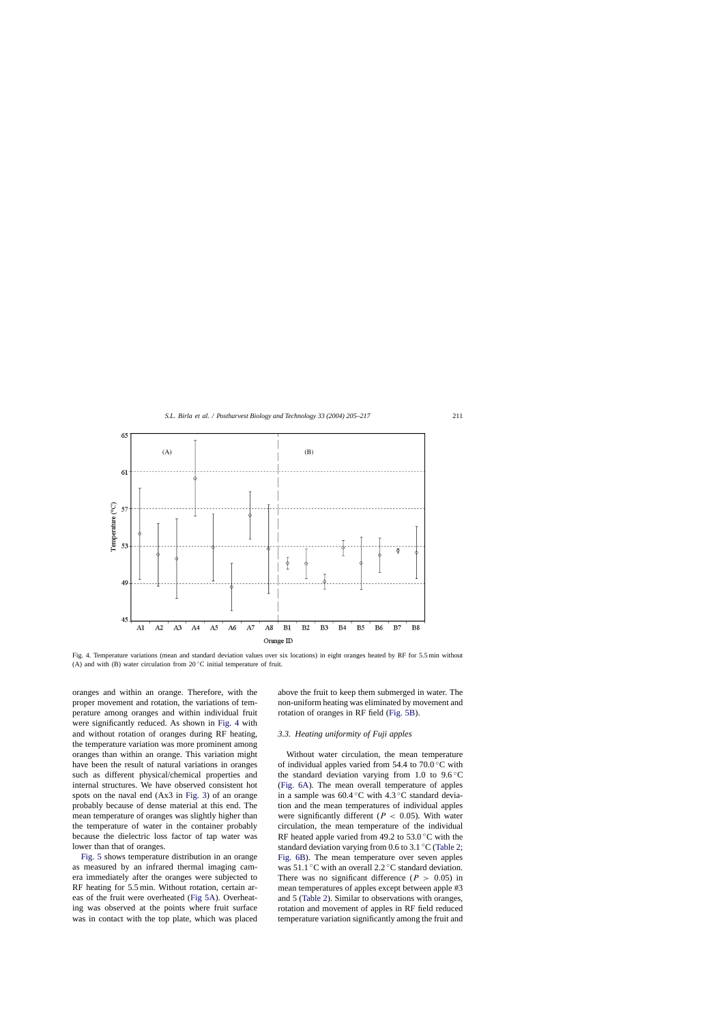<span id="page-6-0"></span>

Fig. 4. Temperature variations (mean and standard deviation values over six locations) in eight oranges heated by RF for 5.5 min without (A) and with (B) water circulation from  $20^{\circ}$ C initial temperature of fruit.

oranges and within an orange. Therefore, with the proper movement and rotation, the variations of temperature among oranges and within individual fruit were significantly reduced. As shown in Fig. 4 with and without rotation of oranges during RF heating, the temperature variation was more prominent among oranges than within an orange. This variation might have been the result of natural variations in oranges such as different physical/chemical properties and internal structures. We have observed consistent hot spots on the naval end (Ax3 in [Fig. 3\)](#page-4-0) of an orange probably because of dense material at this end. The mean temperature of oranges was slightly higher than the temperature of water in the container probably because the dielectric loss factor of tap water was lower than that of oranges.

[Fig. 5](#page-7-0) shows temperature distribution in an orange as measured by an infrared thermal imaging camera immediately after the oranges were subjected to RF heating for 5.5 min. Without rotation, certain areas of the fruit were overheated ([Fig 5A\).](#page-7-0) Overheating was observed at the points where fruit surface was in contact with the top plate, which was placed above the fruit to keep them submerged in water. The non-uniform heating was eliminated by movement and rotation of oranges in RF field ([Fig. 5B\).](#page-7-0)

## *3.3. Heating uniformity of Fuji apples*

Without water circulation, the mean temperature of individual apples varied from 54.4 to  $70.0\,^{\circ}\text{C}$  with the standard deviation varying from 1.0 to  $9.6^{\circ}$ C ([Fig. 6A\).](#page-7-0) The mean overall temperature of apples in a sample was  $60.4\text{ °C}$  with  $4.3\text{ °C}$  standard deviation and the mean temperatures of individual apples were significantly different ( $P < 0.05$ ). With water circulation, the mean temperature of the individual RF heated apple varied from 49.2 to  $53.0\,^{\circ}\text{C}$  with the standard deviation varying from 0.6 to 3.1  $°C$  ([Table 2;](#page-8-0) [Fig. 6B\).](#page-7-0) The mean temperature over seven apples was 51.1  $\degree$ C with an overall 2.2  $\degree$ C standard deviation. There was no significant difference ( $P > 0.05$ ) in mean temperatures of apples except between apple #3 and 5 [\(Table 2\).](#page-8-0) Similar to observations with oranges, rotation and movement of apples in RF field reduced temperature variation significantly among the fruit and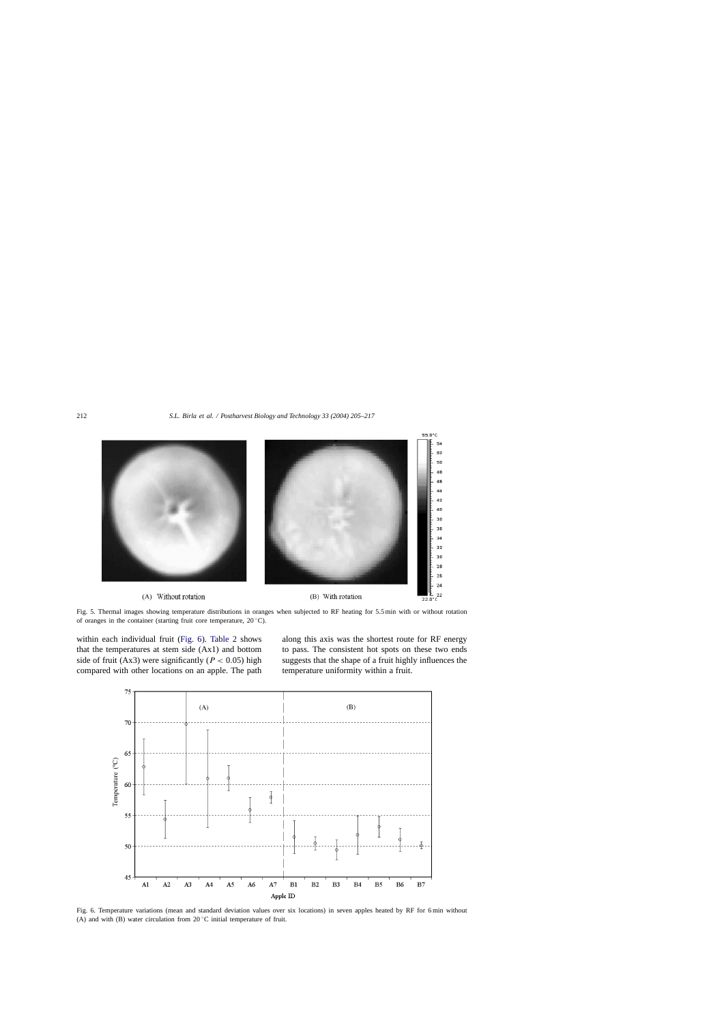<span id="page-7-0"></span>

Fig. 5. Thermal images showing temperature distributions in oranges when subjected to RF heating for 5.5 min with or without rotation of oranges in the container (starting fruit core temperature,  $20^{\circ}$ C).

within each individual fruit (Fig. 6). [Table 2](#page-8-0) shows that the temperatures at stem side (Ax1) and bottom side of fruit (Ax3) were significantly ( $P < 0.05$ ) high compared with other locations on an apple. The path along this axis was the shortest route for RF energy to pass. The consistent hot spots on these two ends suggests that the shape of a fruit highly influences the temperature uniformity within a fruit.



Fig. 6. Temperature variations (mean and standard deviation values over six locations) in seven apples heated by RF for 6 min without (A) and with (B) water circulation from  $20^{\circ}$ C initial temperature of fruit.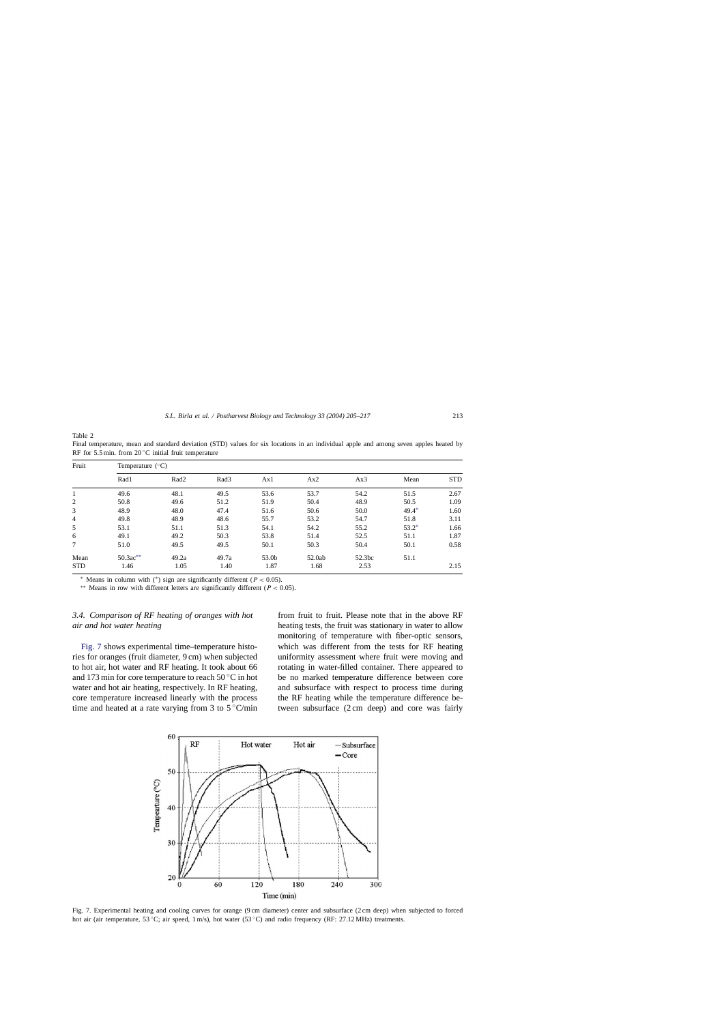<span id="page-8-0"></span>Table 2

Final temperature, mean and standard deviation (STD) values for six locations in an individual apple and among seven apples heated by RF for 5.5 min. from  $20^{\circ}$ C initial fruit temperature

| Fruit          | Temperature $(^{\circ}C)$ |                  |                  |       |        |        |         |            |  |  |
|----------------|---------------------------|------------------|------------------|-------|--------|--------|---------|------------|--|--|
|                | Rad1                      | Rad <sub>2</sub> | Rad <sub>3</sub> | Ax1   | Ax2    | Ax3    | Mean    | <b>STD</b> |  |  |
|                | 49.6                      | 48.1             | 49.5             | 53.6  | 53.7   | 54.2   | 51.5    | 2.67       |  |  |
| $\overline{c}$ | 50.8                      | 49.6             | 51.2             | 51.9  | 50.4   | 48.9   | 50.5    | 1.09       |  |  |
| 3              | 48.9                      | 48.0             | 47.4             | 51.6  | 50.6   | 50.0   | $49.4*$ | 1.60       |  |  |
| $\overline{4}$ | 49.8                      | 48.9             | 48.6             | 55.7  | 53.2   | 54.7   | 51.8    | 3.11       |  |  |
| 5              | 53.1                      | 51.1             | 51.3             | 54.1  | 54.2   | 55.2   | $53.2*$ | 1.66       |  |  |
| 6              | 49.1                      | 49.2             | 50.3             | 53.8  | 51.4   | 52.5   | 51.1    | 1.87       |  |  |
| 7              | 51.0                      | 49.5             | 49.5             | 50.1  | 50.3   | 50.4   | 50.1    | 0.58       |  |  |
| Mean           | $50.3a$ c**               | 49.2a            | 49.7a            | 53.0b | 52.0ab | 52.3bc | 51.1    |            |  |  |
| <b>STD</b>     | 1.46                      | 1.05             | 1.40             | 1.87  | 1.68   | 2.53   |         | 2.15       |  |  |
|                |                           |                  |                  |       |        |        |         |            |  |  |

\* Means in column with (\*) sign are significantly different ( $P < 0.05$ ).

 $*∗$  Means in row with different letters are significantly different ( $P < 0.05$ ).

# *3.4. Comparison of RF heating of oranges with hot air and hot water heating*

Fig. 7 shows experimental time–temperature histories for oranges (fruit diameter, 9 cm) when subjected to hot air, hot water and RF heating. It took about 66 and 173 min for core temperature to reach 50 ◦C in hot water and hot air heating, respectively. In RF heating, core temperature increased linearly with the process time and heated at a rate varying from 3 to  $5 \degree C/\text{min}$  from fruit to fruit. Please note that in the above RF heating tests, the fruit was stationary in water to allow monitoring of temperature with fiber-optic sensors, which was different from the tests for RF heating uniformity assessment where fruit were moving and rotating in water-filled container. There appeared to be no marked temperature difference between core and subsurface with respect to process time during the RF heating while the temperature difference between subsurface (2 cm deep) and core was fairly



Fig. 7. Experimental heating and cooling curves for orange (9 cm diameter) center and subsurface (2 cm deep) when subjected to forced hot air (air temperature, 53 °C; air speed, 1 m/s), hot water (53 °C) and radio frequency (RF: 27.12 MHz) treatments.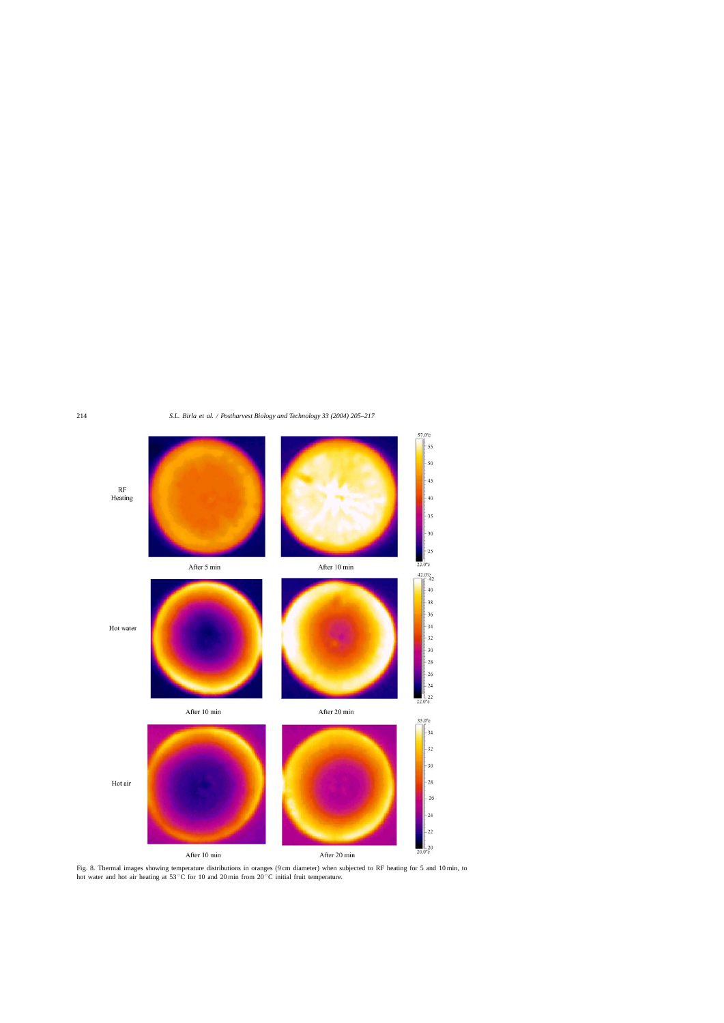<span id="page-9-0"></span>

Fig. 8. Thermal images showing temperature distributions in oranges (9 cm diameter) when subjected to RF heating for 5 and 10 min, to hot water and hot air heating at 53 ◦C for 10 and 20 min from 20 ◦C initial fruit temperature.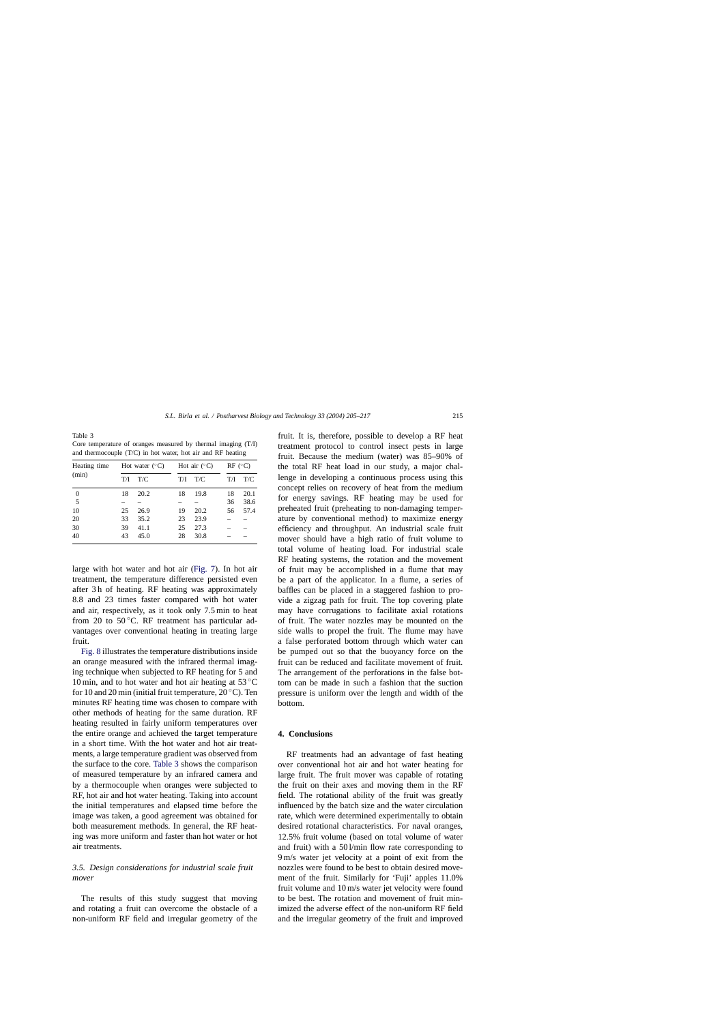Table 3 Core temperature of oranges measured by thermal imaging (T/I) and thermocouple (T/C) in hot water, hot air and RF heating

| Heating time |     | Hot water $(^{\circ}C)$ |     | Hot air $(^{\circ}C)$ |     | RF (°C) |  |
|--------------|-----|-------------------------|-----|-----------------------|-----|---------|--|
| (min)        | T/I | T/C                     | T/I | T/C                   | T/I | T/C     |  |
| $\mathbf{0}$ | 18  | 20.2                    | 18  | 19.8                  | 18  | 20.1    |  |
| 5            |     |                         |     |                       | 36  | 38.6    |  |
| 10           | 25  | 26.9                    | 19  | 20.2                  | 56  | 57.4    |  |
| 20           | 33  | 35.2                    | 23  | 23.9                  |     |         |  |
| 30           | 39  | 41.1                    | 25  | 27.3                  |     |         |  |
| 40           | 43  | 45.0                    | 28  | 30.8                  |     |         |  |
|              |     |                         |     |                       |     |         |  |

large with hot water and hot air [\(Fig. 7\).](#page-8-0) In hot air treatment, the temperature difference persisted even after 3 h of heating. RF heating was approximately 8.8 and 23 times faster compared with hot water and air, respectively, as it took only 7.5 min to heat from 20 to  $50^{\circ}$ C. RF treatment has particular advantages over conventional heating in treating large fruit.

[Fig. 8](#page-9-0) illustrates the temperature distributions inside an orange measured with the infrared thermal imaging technique when subjected to RF heating for 5 and 10 min, and to hot water and hot air heating at  $53^{\circ}$ C for 10 and 20 min (initial fruit temperature,  $20^{\circ}$ C). Ten minutes RF heating time was chosen to compare with other methods of heating for the same duration. RF heating resulted in fairly uniform temperatures over the entire orange and achieved the target temperature in a short time. With the hot water and hot air treatments, a large temperature gradient was observed from the surface to the core. Table 3 shows the comparison of measured temperature by an infrared camera and by a thermocouple when oranges were subjected to RF, hot air and hot water heating. Taking into account the initial temperatures and elapsed time before the image was taken, a good agreement was obtained for both measurement methods. In general, the RF heating was more uniform and faster than hot water or hot air treatments.

# *3.5. Design considerations for industrial scale fruit mover*

The results of this study suggest that moving and rotating a fruit can overcome the obstacle of a non-uniform RF field and irregular geometry of the

fruit. It is, therefore, possible to develop a RF heat treatment protocol to control insect pests in large fruit. Because the medium (water) was 85–90% of the total RF heat load in our study, a major challenge in developing a continuous process using this concept relies on recovery of heat from the medium for energy savings. RF heating may be used for preheated fruit (preheating to non-damaging temperature by conventional method) to maximize energy efficiency and throughput. An industrial scale fruit mover should have a high ratio of fruit volume to total volume of heating load. For industrial scale RF heating systems, the rotation and the movement of fruit may be accomplished in a flume that may be a part of the applicator. In a flume, a series of baffles can be placed in a staggered fashion to provide a zigzag path for fruit. The top covering plate may have corrugations to facilitate axial rotations of fruit. The water nozzles may be mounted on the side walls to propel the fruit. The flume may have a false perforated bottom through which water can be pumped out so that the buoyancy force on the fruit can be reduced and facilitate movement of fruit. The arrangement of the perforations in the false bottom can be made in such a fashion that the suction pressure is uniform over the length and width of the bottom.

## **4. Conclusions**

RF treatments had an advantage of fast heating over conventional hot air and hot water heating for large fruit. The fruit mover was capable of rotating the fruit on their axes and moving them in the RF field. The rotational ability of the fruit was greatly influenced by the batch size and the water circulation rate, which were determined experimentally to obtain desired rotational characteristics. For naval oranges, 12.5% fruit volume (based on total volume of water and fruit) with a 50 l/min flow rate corresponding to 9 m/s water jet velocity at a point of exit from the nozzles were found to be best to obtain desired movement of the fruit. Similarly for 'Fuji' apples 11.0% fruit volume and 10 m/s water jet velocity were found to be best. The rotation and movement of fruit minimized the adverse effect of the non-uniform RF field and the irregular geometry of the fruit and improved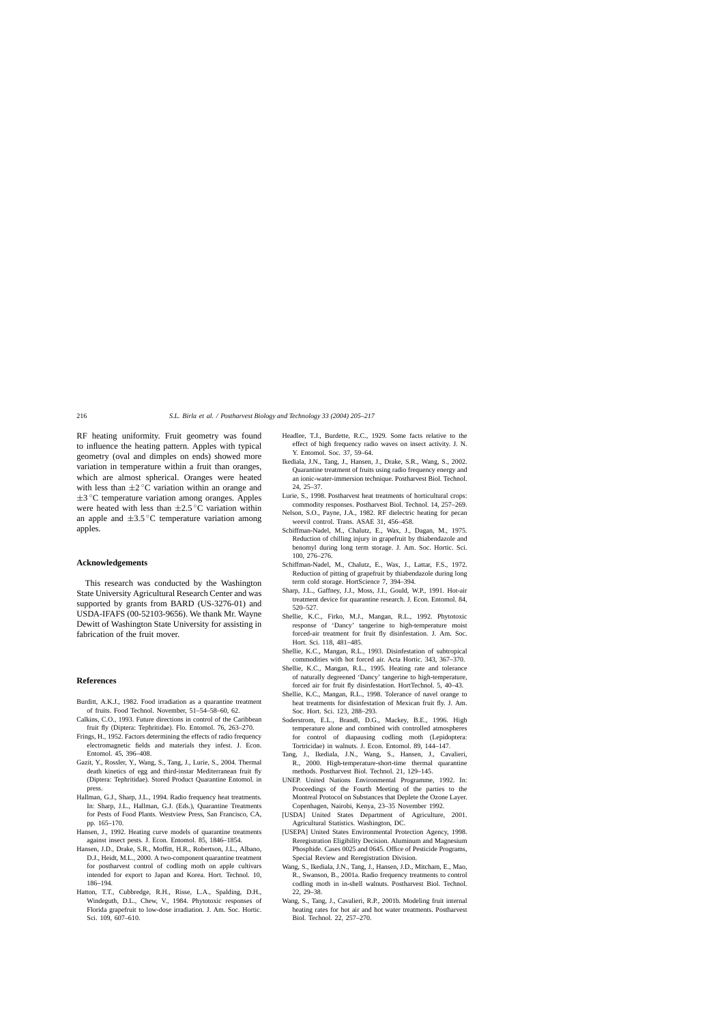<span id="page-11-0"></span>RF heating uniformity. Fruit geometry was found to influence the heating pattern. Apples with typical geometry (oval and dimples on ends) showed more variation in temperature within a fruit than oranges, which are almost spherical. Oranges were heated with less than  $\pm 2^{\circ}$ C variation within an orange and  $\pm$ 3 °C temperature variation among oranges. Apples were heated with less than  $\pm 2.5$  °C variation within an apple and  $\pm 3.5$  °C temperature variation among apples.

## **Acknowledgements**

This research was conducted by the Washington State University Agricultural Research Center and was supported by grants from BARD (US-3276-01) and USDA-IFAFS (00-52103-9656). We thank Mr. Wayne Dewitt of Washington State University for assisting in fabrication of the fruit mover.

#### **References**

- Burditt, A.K.J., 1982. Food irradiation as a quarantine treatment of fruits. Food Technol. November, 51–54–58–60, 62.
- Calkins, C.O., 1993. Future directions in control of the Caribbean fruit fly (Diptera: Tephritidae). Flo. Entomol. 76, 263–270.
- Frings, H., 1952. Factors determining the effects of radio frequency electromagnetic fields and materials they infest. J. Econ. Entomol. 45, 396–408.
- Gazit, Y., Rossler, Y., Wang, S., Tang, J., Lurie, S., 2004. Thermal death kinetics of egg and third-instar Mediterranean fruit fly (Diptera: Tephritidae). Stored Product Quarantine Entomol. in press.
- Hallman, G.J., Sharp, J.L., 1994. Radio frequency heat treatments. In: Sharp, J.L., Hallman, G.J. (Eds.), Quarantine Treatments for Pests of Food Plants. Westview Press, San Francisco, CA, pp. 165–170.
- Hansen, J., 1992. Heating curve models of quarantine treatments against insect pests. J. Econ. Entomol. 85, 1846–1854.
- Hansen, J.D., Drake, S.R., Moffitt, H.R., Robertson, J.L., Albano, D.J., Heidt, M.L., 2000. A two-component quarantine treatment for postharvest control of codling moth on apple cultivars intended for export to Japan and Korea. Hort. Technol. 10, 186–194.
- Hatton, T.T., Cubbredge, R.H., Risse, L.A., Spalding, D.H., Windeguth, D.L., Chew, V., 1984. Phytotoxic responses of Florida grapefruit to low-dose irradiation. J. Am. Soc. Hortic. Sci. 109, 607–610.
- Headlee, T.J., Burdette, R.C., 1929. Some facts relative to the effect of high frequency radio waves on insect activity. J. N. Y. Entomol. Soc. 37, 59–64.
- Ikediala, J.N., Tang, J., Hansen, J., Drake, S.R., Wang, S., 2002. Quarantine treatment of fruits using radio frequency energy and an ionic-water-immersion technique. Postharvest Biol. Technol. 24, 25–37.
- Lurie, S., 1998. Postharvest heat treatments of horticultural crops: commodity responses. Postharvest Biol. Technol. 14, 257–269.
- Nelson, S.O., Payne, J.A., 1982. RF dielectric heating for pecan weevil control. Trans. ASAE 31, 456–458.
- Schiffman-Nadel, M., Chalutz, E., Wax, J., Dagan, M., 1975. Reduction of chilling injury in grapefruit by thiabendazole and benomyl during long term storage. J. Am. Soc. Hortic. Sci. 100, 276–276.
- Schiffman-Nadel, M., Chalutz, E., Wax, J., Lattar, F.S., 1972. Reduction of pitting of grapefruit by thiabendazole during long term cold storage. HortScience 7, 394–394.
- Sharp, J.L., Gaffney, J.J., Moss, J.I., Gould, W.P., 1991. Hot-air treatment device for quarantine research. J. Econ. Entomol. 84, 520–527.
- Shellie, K.C., Firko, M.J., Mangan, R.L., 1992. Phytotoxic response of 'Dancy' tangerine to high-temperature moist forced-air treatment for fruit fly disinfestation. J. Am. Soc. Hort. Sci. 118, 481–485.
- Shellie, K.C., Mangan, R.L., 1993. Disinfestation of subtropical commodities with hot forced air. Acta Hortic. 343, 367–370.
- Shellie, K.C., Mangan, R.L., 1995. Heating rate and tolerance of naturally degreened 'Dancy' tangerine to high-temperature, forced air for fruit fly disinfestation. HortTechnol. 5, 40–43.
- Shellie, K.C., Mangan, R.L., 1998. Tolerance of navel orange to heat treatments for disinfestation of Mexican fruit fly. J. Am. Soc. Hort. Sci. 123, 288–293.
- Soderstrom, E.L., Brandl, D.G., Mackey, B.E., 1996. High temperature alone and combined with controlled atmospheres for control of diapausing codling moth (Lepidoptera: Tortricidae) in walnuts. J. Econ. Entomol. 89, 144–147.
- Tang, J., Ikediala, J.N., Wang, S., Hansen, J., Cavalieri, R., 2000. High-temperature-short-time thermal quarantine methods. Postharvest Biol. Technol. 21, 129–145.
- UNEP. United Nations Environmental Programme, 1992. In: Proceedings of the Fourth Meeting of the parties to the Montreal Protocol on Substances that Deplete the Ozone Layer. Copenhagen, Nairobi, Kenya, 23–35 November 1992.
- [USDA] United States Department of Agriculture, 2001. Agricultural Statistics. Washington, DC.
- [USEPA] United States Environmental Protection Agency, 1998. Reregistration Eligibility Decision. Aluminum and Magnesium Phosphide. Cases 0025 and 0645. Office of Pesticide Programs, Special Review and Reregistration Division.
- Wang, S., Ikediala, J.N., Tang, J., Hansen, J.D., Mitcham, E., Mao, R., Swanson, B., 2001a. Radio frequency treatments to control codling moth in in-shell walnuts. Postharvest Biol. Technol. 22, 29–38.
- Wang, S., Tang, J., Cavalieri, R.P., 2001b. Modeling fruit internal heating rates for hot air and hot water treatments. Postharvest Biol. Technol. 22, 257–270.